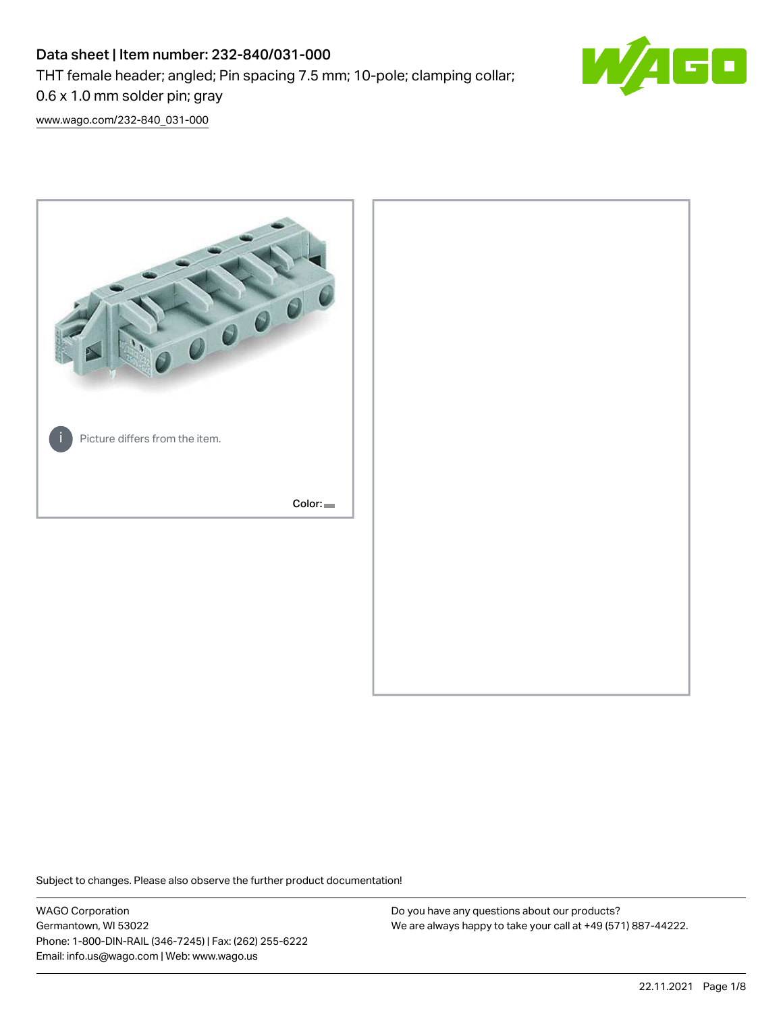# Data sheet | Item number: 232-840/031-000

THT female header; angled; Pin spacing 7.5 mm; 10-pole; clamping collar;

0.6 x 1.0 mm solder pin; gray

[www.wago.com/232-840\\_031-000](http://www.wago.com/232-840_031-000)



Subject to changes. Please also observe the further product documentation!

WAGO Corporation Germantown, WI 53022 Phone: 1-800-DIN-RAIL (346-7245) | Fax: (262) 255-6222 Email: info.us@wago.com | Web: www.wago.us

Do you have any questions about our products? We are always happy to take your call at +49 (571) 887-44222.

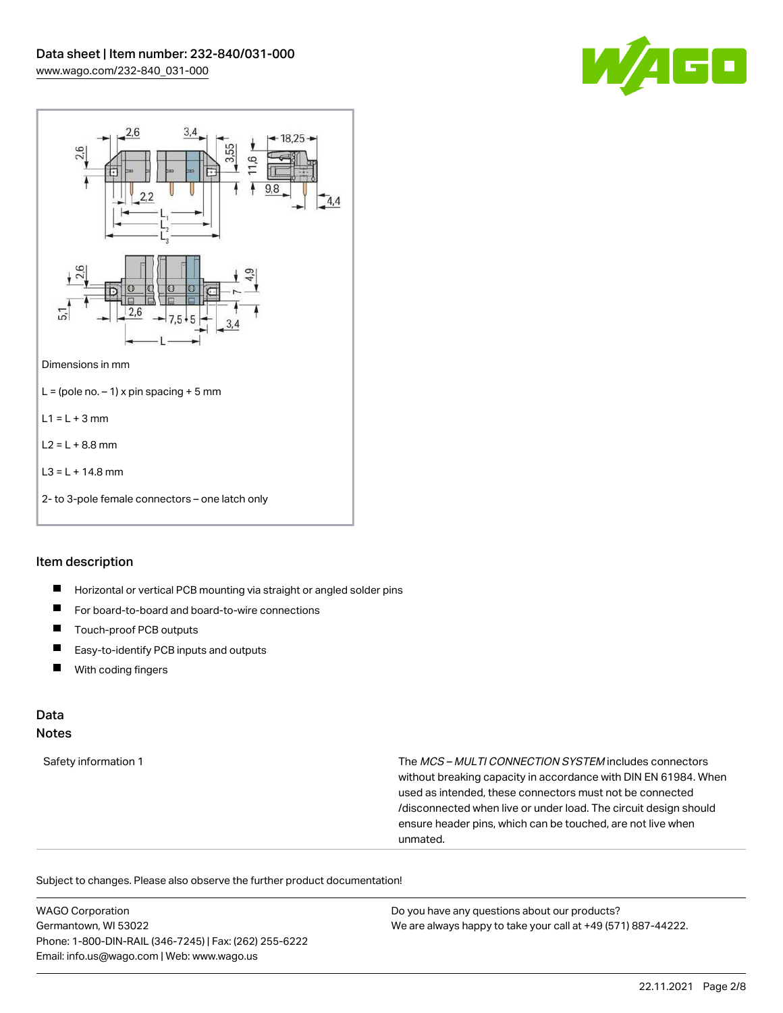



#### Item description

- $\blacksquare$ Horizontal or vertical PCB mounting via straight or angled solder pins
- $\blacksquare$ For board-to-board and board-to-wire connections
- П Touch-proof PCB outputs
- $\blacksquare$ Easy-to-identify PCB inputs and outputs
- With coding fingers  $\blacksquare$

#### Data Notes

Safety information 1 The MCS – MULTI CONNECTION SYSTEM includes connectors without breaking capacity in accordance with DIN EN 61984. When used as intended, these connectors must not be connected /disconnected when live or under load. The circuit design should ensure header pins, which can be touched, are not live when unmated.

Subject to changes. Please also observe the further product documentation!

WAGO Corporation Germantown, WI 53022 Phone: 1-800-DIN-RAIL (346-7245) | Fax: (262) 255-6222 Email: info.us@wago.com | Web: www.wago.us Do you have any questions about our products? We are always happy to take your call at +49 (571) 887-44222.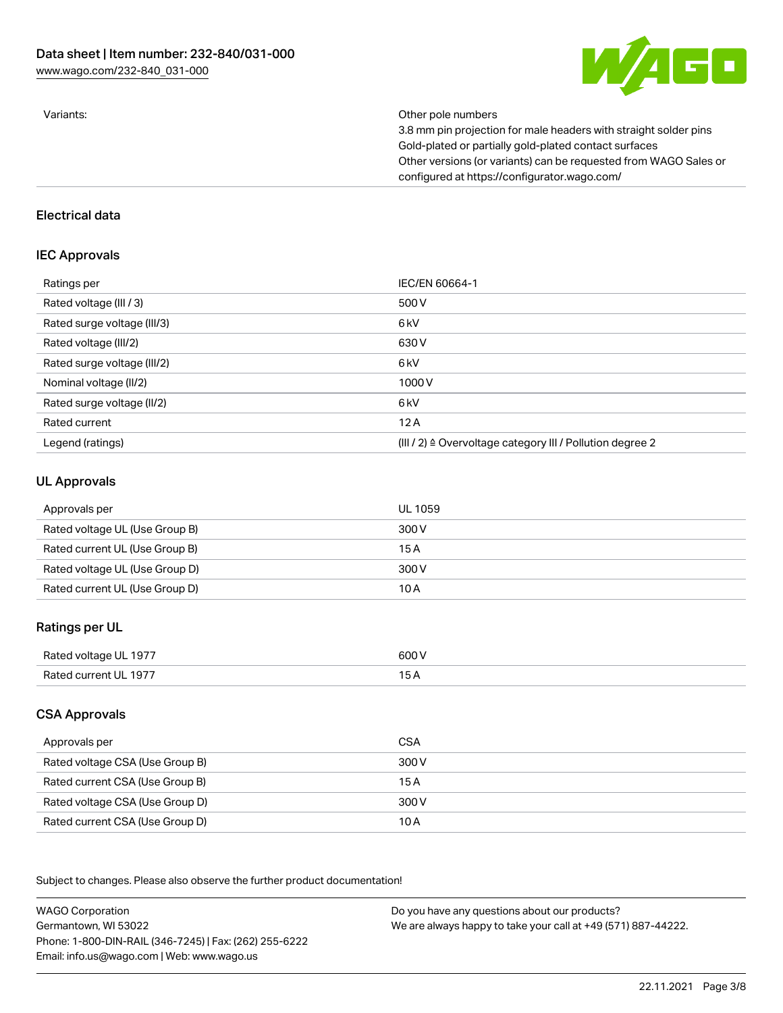

Variants: Other pole numbers

3.8 mm pin projection for male headers with straight solder pins Gold-plated or partially gold-plated contact surfaces Other versions (or variants) can be requested from WAGO Sales or configured at https://configurator.wago.com/

#### Electrical data

### IEC Approvals

| Ratings per                 | IEC/EN 60664-1                                                        |
|-----------------------------|-----------------------------------------------------------------------|
| Rated voltage (III / 3)     | 500 V                                                                 |
| Rated surge voltage (III/3) | 6 <sub>kV</sub>                                                       |
| Rated voltage (III/2)       | 630 V                                                                 |
| Rated surge voltage (III/2) | 6 <sub>kV</sub>                                                       |
| Nominal voltage (II/2)      | 1000V                                                                 |
| Rated surge voltage (II/2)  | 6 <sub>kV</sub>                                                       |
| Rated current               | 12A                                                                   |
| Legend (ratings)            | $(III / 2)$ $\triangle$ Overvoltage category III / Pollution degree 2 |

### UL Approvals

| Approvals per                  | UL 1059 |
|--------------------------------|---------|
| Rated voltage UL (Use Group B) | 300 V   |
| Rated current UL (Use Group B) | 15 A    |
| Rated voltage UL (Use Group D) | 300 V   |
| Rated current UL (Use Group D) | 10 A    |

## Ratings per UL

| Rated voltage UL 1977 | 600 V |
|-----------------------|-------|
| Rated current UL 1977 | ____  |

## CSA Approvals

| Approvals per                   | CSA   |
|---------------------------------|-------|
| Rated voltage CSA (Use Group B) | 300 V |
| Rated current CSA (Use Group B) | 15 A  |
| Rated voltage CSA (Use Group D) | 300 V |
| Rated current CSA (Use Group D) | 10 A  |

.<br>Subject to changes. Please also observe the further product documentation!

WAGO Corporation Germantown, WI 53022 Phone: 1-800-DIN-RAIL (346-7245) | Fax: (262) 255-6222 Email: info.us@wago.com | Web: www.wago.us Do you have any questions about our products? We are always happy to take your call at +49 (571) 887-44222.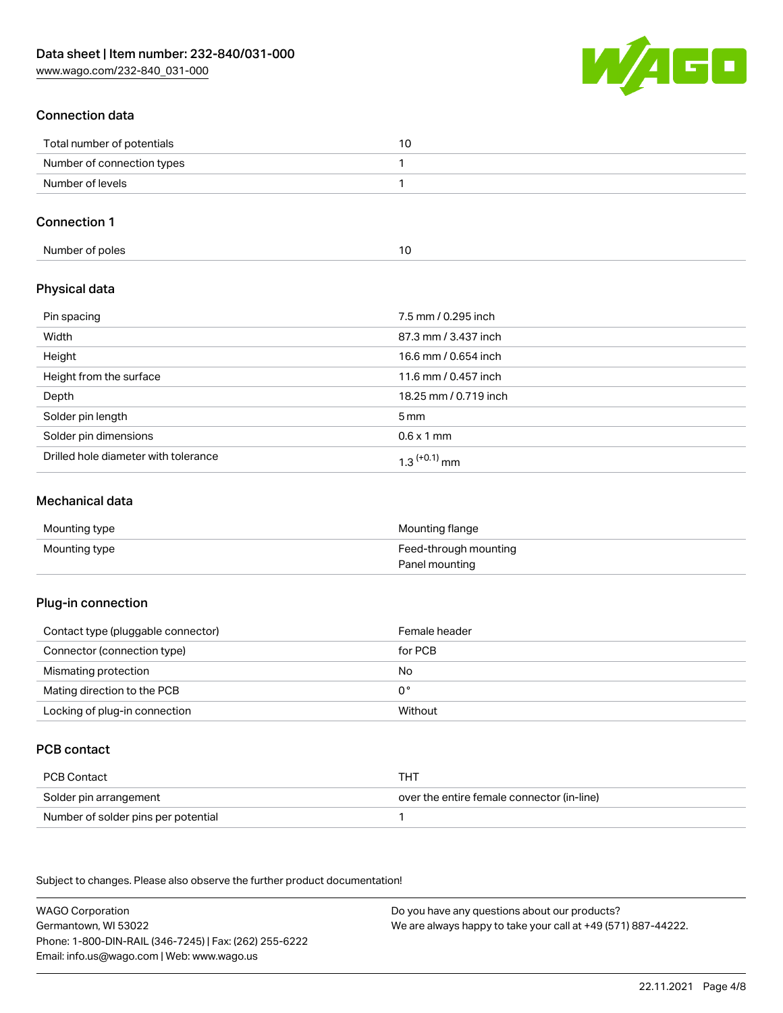[www.wago.com/232-840\\_031-000](http://www.wago.com/232-840_031-000)



## Connection data

| Total number of potentials |  |
|----------------------------|--|
| Number of connection types |  |
| Number of levels           |  |

## Connection 1

| Number of poles | U |
|-----------------|---|
|-----------------|---|

## Physical data

| Pin spacing                          | 7.5 mm / 0.295 inch        |
|--------------------------------------|----------------------------|
| Width                                | 87.3 mm / 3.437 inch       |
| Height                               | 16.6 mm / 0.654 inch       |
| Height from the surface              | 11.6 mm / 0.457 inch       |
| Depth                                | 18.25 mm / 0.719 inch      |
| Solder pin length                    | $5 \,\mathrm{mm}$          |
| Solder pin dimensions                | $0.6 \times 1$ mm          |
| Drilled hole diameter with tolerance | $1.3$ <sup>(+0.1)</sup> mm |

### Mechanical data

| Mounting type | Mounting flange       |
|---------------|-----------------------|
| Mounting type | Feed-through mounting |
|               | Panel mounting        |

#### Plug-in connection

| Contact type (pluggable connector) | Female header  |
|------------------------------------|----------------|
| Connector (connection type)        | for PCB        |
| Mismating protection               | No             |
| Mating direction to the PCB        | 0 <sup>°</sup> |
| Locking of plug-in connection      | Without        |

## PCB contact

| PCB Contact                         | тнт                                        |
|-------------------------------------|--------------------------------------------|
| Solder pin arrangement              | over the entire female connector (in-line) |
| Number of solder pins per potential |                                            |

Subject to changes. Please also observe the further product documentation!

WAGO Corporation Germantown, WI 53022 Phone: 1-800-DIN-RAIL (346-7245) | Fax: (262) 255-6222 Email: info.us@wago.com | Web: www.wago.us Do you have any questions about our products? We are always happy to take your call at +49 (571) 887-44222.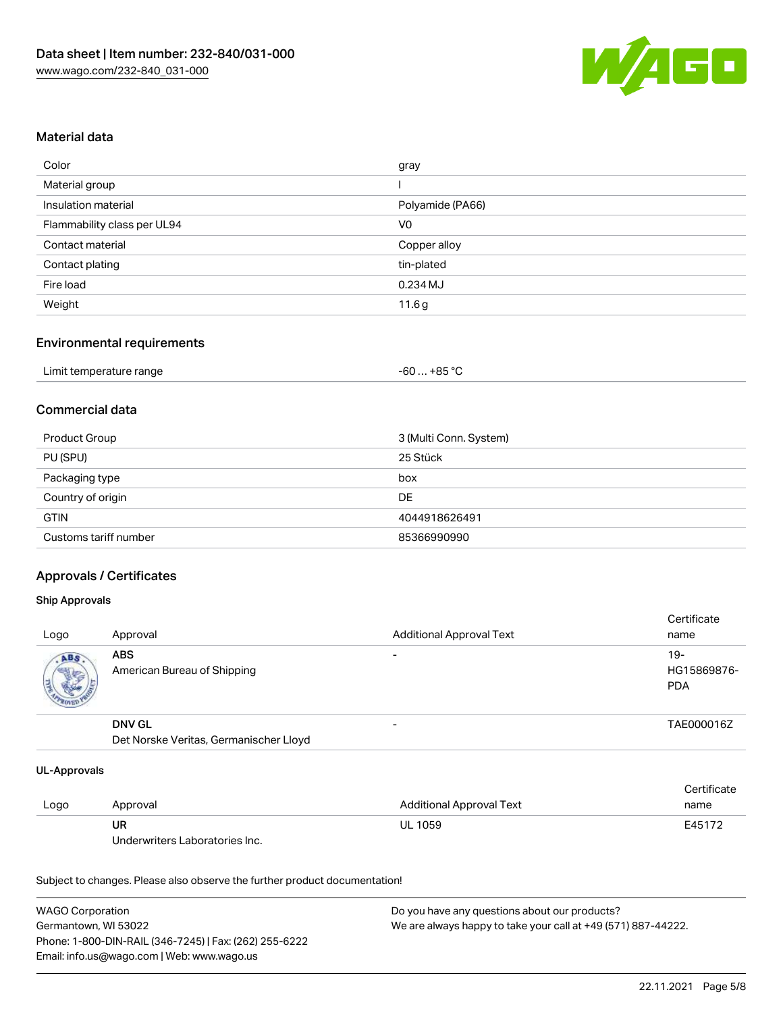

### Material data

| Color                       | gray             |
|-----------------------------|------------------|
| Material group              |                  |
| Insulation material         | Polyamide (PA66) |
| Flammability class per UL94 | V <sub>0</sub>   |
| Contact material            | Copper alloy     |
| Contact plating             | tin-plated       |
| Fire load                   | 0.234 MJ         |
| Weight                      | 11.6g            |

#### Environmental requirements

| Limit temperature range | $-60+85 °C$ |
|-------------------------|-------------|
|-------------------------|-------------|

### Commercial data

| Product Group         | 3 (Multi Conn. System) |
|-----------------------|------------------------|
| PU (SPU)              | 25 Stück               |
| Packaging type        | box                    |
| Country of origin     | DE                     |
| <b>GTIN</b>           | 4044918626491          |
| Customs tariff number | 85366990990            |

### Approvals / Certificates

#### Ship Approvals

| Logo | Approval                                  | <b>Additional Approval Text</b> | Certificate<br>name                |
|------|-------------------------------------------|---------------------------------|------------------------------------|
| ABS  | <b>ABS</b><br>American Bureau of Shipping | $\overline{\phantom{0}}$        | $19-$<br>HG15869876-<br><b>PDA</b> |
|      | <b>DNV GL</b>                             | $\overline{\phantom{0}}$        | TAE000016Z                         |

Det Norske Veritas, Germanischer Lloyd

#### UL-Approvals

|      |                                |                          | Certificate |
|------|--------------------------------|--------------------------|-------------|
| Logo | Approval                       | Additional Approval Text | name        |
|      | UR                             | <b>UL 1059</b>           | E45172      |
|      | Underwriters Laboratories Inc. |                          |             |

Subject to changes. Please also observe the further product documentation!

| <b>WAGO Corporation</b>                                | Do you have any questions about our products?                 |
|--------------------------------------------------------|---------------------------------------------------------------|
| Germantown. WI 53022                                   | We are always happy to take your call at +49 (571) 887-44222. |
| Phone: 1-800-DIN-RAIL (346-7245)   Fax: (262) 255-6222 |                                                               |
| Email: info.us@wago.com   Web: www.wago.us             |                                                               |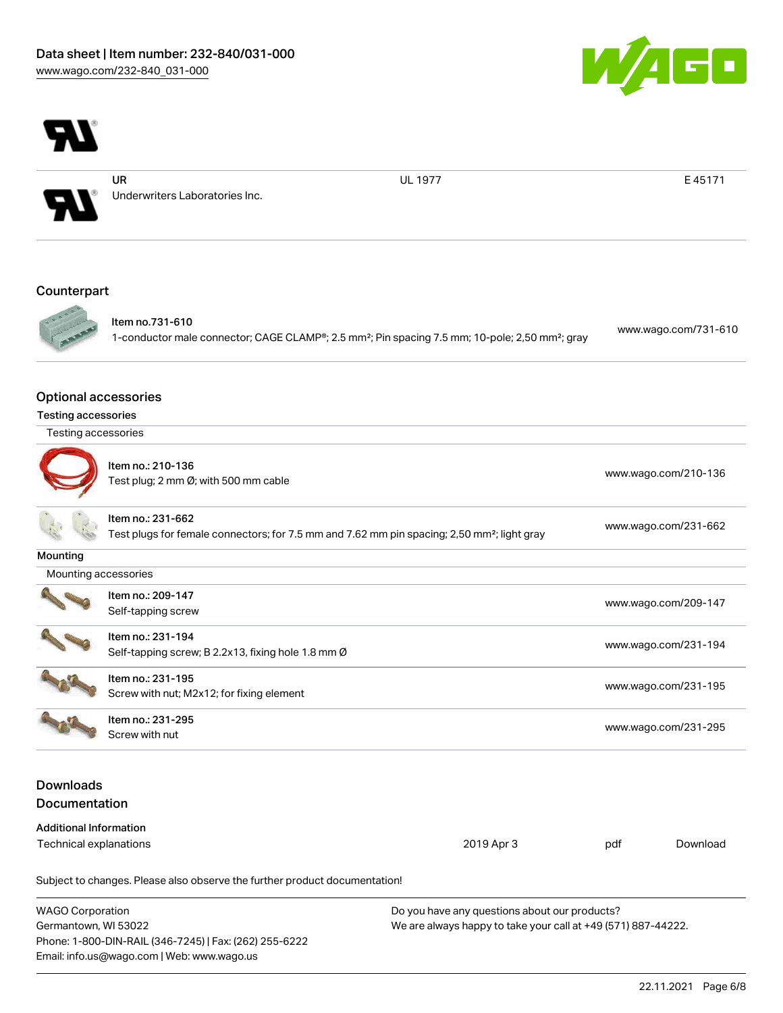

UR

Underwriters Laboratories Inc.

UL 1977 **E 45171** 

 $\blacksquare$ 

### **Counterpart**



Item no.731-610 1-conductor male connector; CAGE CLAMP®; 2.5 mm²; Pin spacing 7.5 mm; 10-pole; 2,50 mm²; gray [www.wago.com/731-610](https://www.wago.com/731-610)

#### Optional accessories

| <b>Testing accessories</b> |  |
|----------------------------|--|
|                            |  |
|                            |  |

| Testing accessories |  |
|---------------------|--|
|---------------------|--|



| Item no.: 210-136<br>Test plug; 2 mm Ø; with 500 mm cable | www.wago.com/210-136 |
|-----------------------------------------------------------|----------------------|
|                                                           |                      |

Item no.: 231-662 Test plugs for female connectors; for 7.5 mm and 7.62 mm pin spacing; 2,50 mm²; light gray [www.wago.com/231-662](http://www.wago.com/231-662)

**Mounting** 

Mounting accessories

|  | T<br>٦ |
|--|--------|

Item no.: 209-147 Next Treff-tapping screw [www.wago.com/209-147](http://www.wago.com/209-147) Item no.: 231-194



Item no.: 231-195 Screw with nut; M2x12; for fixing element [www.wago.com/231-195](http://www.wago.com/231-195)

Self-tapping screw; B 2.2x13, fixing hole 1.8 mm Ø [www.wago.com/231-194](http://www.wago.com/231-194)

Item no.: 231-295 Netther 231-233<br>Screw with nut [www.wago.com/231-295](http://www.wago.com/231-295)

## Downloads Documentation

| Additional Information |            |     |          |
|------------------------|------------|-----|----------|
| Technical explanations | 2019 Apr 3 | pdf | Download |

Subject to changes. Please also observe the further product documentation!

| <b>WAGO Corporation</b>                                | Do you have any questions about our products?                 |
|--------------------------------------------------------|---------------------------------------------------------------|
| Germantown, WI 53022                                   | We are always happy to take your call at +49 (571) 887-44222. |
| Phone: 1-800-DIN-RAIL (346-7245)   Fax: (262) 255-6222 |                                                               |
| Email: info.us@wago.com   Web: www.wago.us             |                                                               |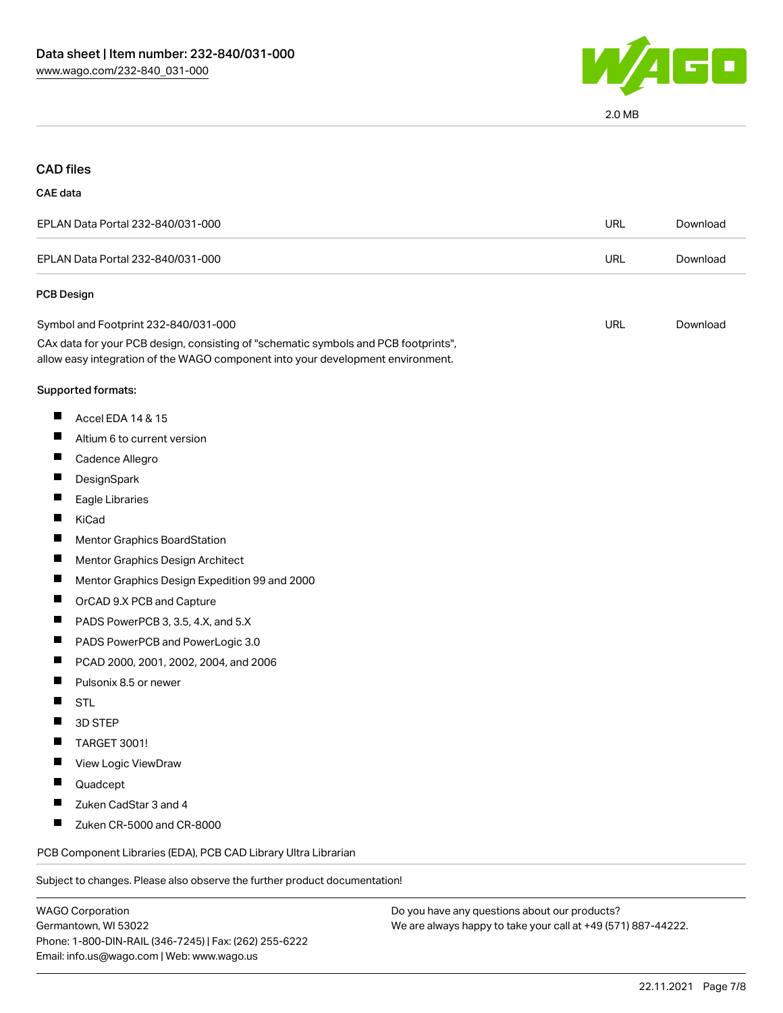

## CAD files

#### CAE data

| EPLAN Data Portal 232-840/031-000 | URL | Download |
|-----------------------------------|-----|----------|
| EPLAN Data Portal 232-840/031-000 | URL | Download |
| <b>PCB Design</b>                 |     |          |

| Symbol and Footprint 232-840/031-000                                                | URL | Download |
|-------------------------------------------------------------------------------------|-----|----------|
| CAx data for your PCB design, consisting of "schematic symbols and PCB footprints", |     |          |
| allow easy integration of the WAGO component into your development environment.     |     |          |

#### Supported formats:

- $\blacksquare$ Accel EDA 14 & 15
- $\blacksquare$ Altium 6 to current version
- $\blacksquare$ Cadence Allegro
- $\blacksquare$ **DesignSpark**
- $\blacksquare$ Eagle Libraries
- $\blacksquare$ KiCad
- Mentor Graphics BoardStation П
- $\blacksquare$ Mentor Graphics Design Architect
- $\blacksquare$ Mentor Graphics Design Expedition 99 and 2000
- $\blacksquare$ OrCAD 9.X PCB and Capture
- $\blacksquare$ PADS PowerPCB 3, 3.5, 4.X, and 5.X
- $\blacksquare$ PADS PowerPCB and PowerLogic 3.0
- $\blacksquare$ PCAD 2000, 2001, 2002, 2004, and 2006
- $\blacksquare$ Pulsonix 8.5 or newer
- П **STL**
- $\blacksquare$ 3D STEP
- $\blacksquare$ TARGET 3001!
- П View Logic ViewDraw
- П Quadcept
- $\blacksquare$ Zuken CadStar 3 and 4
- $\blacksquare$ Zuken CR-5000 and CR-8000

PCB Component Libraries (EDA), PCB CAD Library Ultra Librarian

Subject to changes. Please also observe the further product documentation!

Do you have any questions about our products? We are always happy to take your call at +49 (571) 887-44222.